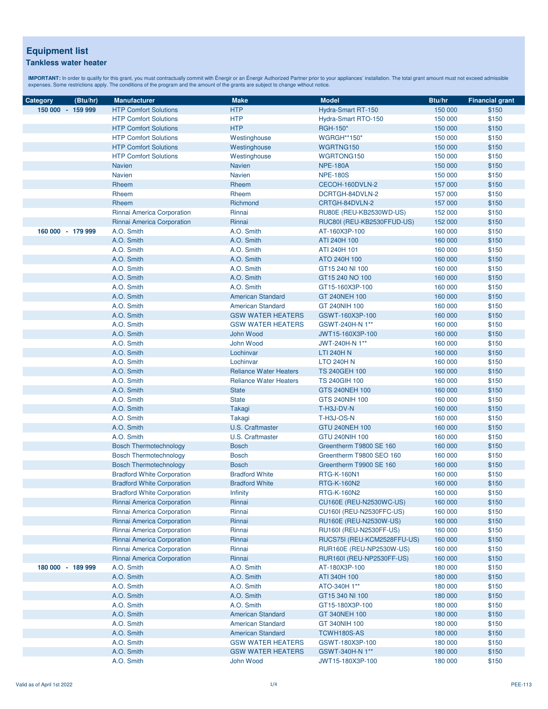| Category          | (Btu/hr) | <b>Manufacturer</b>               | <b>Make</b>                   | <b>Model</b>                | Btu/hr  | <b>Financial grant</b> |
|-------------------|----------|-----------------------------------|-------------------------------|-----------------------------|---------|------------------------|
| 150 000 - 159 999 |          | <b>HTP Comfort Solutions</b>      | <b>HTP</b>                    | Hydra-Smart RT-150          | 150 000 | \$150                  |
|                   |          | <b>HTP Comfort Solutions</b>      | <b>HTP</b>                    | Hydra-Smart RTO-150         | 150 000 | \$150                  |
|                   |          | <b>HTP Comfort Solutions</b>      | <b>HTP</b>                    | RGH-150*                    | 150 000 | \$150                  |
|                   |          | <b>HTP Comfort Solutions</b>      | Westinghouse                  | <b>WGRGH**150*</b>          | 150 000 | \$150                  |
|                   |          | <b>HTP Comfort Solutions</b>      | Westinghouse                  | WGRTNG150                   | 150 000 | \$150                  |
|                   |          | <b>HTP Comfort Solutions</b>      | Westinghouse                  | WGRTONG150                  | 150 000 | \$150                  |
|                   |          | <b>Navien</b>                     | <b>Navien</b>                 | <b>NPE-180A</b>             | 150 000 | \$150                  |
|                   |          | <b>Navien</b>                     | <b>Navien</b>                 | <b>NPE-180S</b>             | 150 000 | \$150                  |
|                   |          | Rheem                             | Rheem                         | CECOH-160DVLN-2             | 157 000 | \$150                  |
|                   |          | Rheem                             | Rheem                         | DCRTGH-84DVLN-2             | 157 000 | \$150                  |
|                   |          | Rheem                             | Richmond                      | CRTGH-84DVLN-2              | 157 000 | \$150                  |
|                   |          | Rinnai America Corporation        | Rinnai                        | RU80E (REU-KB2530WD-US)     | 152 000 | \$150                  |
|                   |          | Rinnai America Corporation        | Rinnai                        | RUC80I (REU-KB2530FFUD-US)  | 152 000 | \$150                  |
| 160 000 - 179 999 |          | A.O. Smith                        | A.O. Smith                    | AT-160X3P-100               | 160 000 | \$150                  |
|                   |          | A.O. Smith                        | A.O. Smith                    | ATI 240H 100                | 160 000 | \$150                  |
|                   |          | A.O. Smith                        | A.O. Smith                    | ATI 240H 101                | 160 000 | \$150                  |
|                   |          | A.O. Smith                        | A.O. Smith                    | ATO 240H 100                | 160 000 | \$150                  |
|                   |          | A.O. Smith                        | A.O. Smith                    | GT15 240 NI 100             | 160 000 | \$150                  |
|                   |          | A.O. Smith                        | A.O. Smith                    | GT15 240 NO 100             | 160 000 | \$150                  |
|                   |          | A.O. Smith                        | A.O. Smith                    | GT15-160X3P-100             | 160 000 | \$150                  |
|                   |          | A.O. Smith                        | <b>American Standard</b>      | GT 240NEH 100               | 160 000 | \$150                  |
|                   |          | A.O. Smith                        | <b>American Standard</b>      | GT 240NIH 100               | 160 000 | \$150                  |
|                   |          | A.O. Smith                        | <b>GSW WATER HEATERS</b>      | GSWT-160X3P-100             | 160 000 | \$150                  |
|                   |          | A.O. Smith                        | <b>GSW WATER HEATERS</b>      | GSWT-240H-N 1**             | 160 000 | \$150                  |
|                   |          | A.O. Smith                        | John Wood                     | JWT15-160X3P-100            | 160 000 | \$150                  |
|                   |          | A.O. Smith                        | John Wood                     | JWT-240H-N 1**              | 160 000 | \$150                  |
|                   |          | A.O. Smith                        | Lochinvar                     | <b>LTI 240H N</b>           | 160 000 | \$150                  |
|                   |          | A.O. Smith                        | Lochinvar                     | <b>LTO 240H N</b>           | 160 000 | \$150                  |
|                   |          | A.O. Smith                        | <b>Reliance Water Heaters</b> | <b>TS 240GEH 100</b>        | 160 000 | \$150                  |
|                   |          | A.O. Smith                        | <b>Reliance Water Heaters</b> | <b>TS 240GIH 100</b>        | 160 000 | \$150                  |
|                   |          | A.O. Smith                        | <b>State</b>                  | GTS 240NEH 100              | 160 000 | \$150                  |
|                   |          | A.O. Smith                        | <b>State</b>                  | GTS 240NIH 100              | 160 000 | \$150                  |
|                   |          | A.O. Smith                        | Takagi                        | T-H3J-DV-N                  | 160 000 | \$150                  |
|                   |          | A.O. Smith                        | Takagi                        | T-H3J-OS-N                  | 160 000 | \$150                  |
|                   |          | A.O. Smith                        | <b>U.S. Craftmaster</b>       | <b>GTU 240NEH 100</b>       | 160 000 | \$150                  |
|                   |          | A.O. Smith                        | U.S. Craftmaster              | <b>GTU 240NIH 100</b>       | 160 000 | \$150                  |
|                   |          | <b>Bosch Thermotechnology</b>     | <b>Bosch</b>                  | Greentherm T9800 SE 160     | 160 000 | \$150                  |
|                   |          | <b>Bosch Thermotechnology</b>     | <b>Bosch</b>                  | Greentherm T9800 SEO 160    | 160 000 | \$150                  |
|                   |          | <b>Bosch Thermotechnology</b>     | <b>Bosch</b>                  | Greentherm T9900 SE 160     | 160 000 | \$150                  |
|                   |          | <b>Bradford White Corporation</b> | <b>Bradford White</b>         | <b>RTG-K-160N1</b>          | 160 000 | \$150                  |
|                   |          | <b>Bradford White Corporation</b> | <b>Bradford White</b>         | <b>RTG-K-160N2</b>          | 160 000 | \$150                  |
|                   |          | <b>Bradford White Corporation</b> | Infinity                      | RTG-K-160N2                 | 160 000 | \$150                  |
|                   |          | Rinnai America Corporation        | Rinnai                        | CU160E (REU-N2530WC-US)     | 160 000 | \$150                  |
|                   |          | Rinnai America Corporation        | Rinnai                        | CU160I (REU-N2530FFC-US)    | 160 000 | \$150                  |
|                   |          | Rinnai America Corporation        | Rinnai                        | RU160E (REU-N2530W-US)      | 160 000 | \$150                  |
|                   |          | Rinnai America Corporation        | Rinnai                        | RU160I (REU-N2530FF-US)     | 160 000 | \$150                  |
|                   |          | Rinnai America Corporation        | Rinnai                        | RUCS75I (REU-KCM2528FFU-US) | 160 000 | \$150                  |
|                   |          | Rinnai America Corporation        | Rinnai                        | RUR160E (REU-NP2530W-US)    | 160 000 | \$150                  |
|                   |          | Rinnai America Corporation        | Rinnai                        | RUR160I (REU-NP2530FF-US)   | 160 000 | \$150                  |
| 180 000 - 189 999 |          | A.O. Smith                        | A.O. Smith                    | AT-180X3P-100               | 180 000 | \$150                  |
|                   |          | A.O. Smith                        | A.O. Smith                    | ATI 340H 100                | 180 000 | \$150                  |
|                   |          | A.O. Smith                        | A.O. Smith                    | ATO-340H 1**                | 180 000 | \$150                  |
|                   |          | A.O. Smith                        | A.O. Smith                    | GT15 340 NI 100             | 180 000 | \$150                  |
|                   |          | A.O. Smith                        | A.O. Smith                    | GT15-180X3P-100             | 180 000 | \$150                  |
|                   |          | A.O. Smith                        | <b>American Standard</b>      | GT 340NEH 100               | 180 000 | \$150                  |
|                   |          | A.O. Smith                        | <b>American Standard</b>      | GT 340NIH 100               | 180 000 | \$150                  |
|                   |          | A.O. Smith                        | <b>American Standard</b>      | TCWH180S-AS                 | 180 000 | \$150                  |
|                   |          | A.O. Smith                        | <b>GSW WATER HEATERS</b>      | GSWT-180X3P-100             | 180 000 | \$150                  |
|                   |          | A.O. Smith                        | <b>GSW WATER HEATERS</b>      | GSWT-340H-N 1**             | 180 000 | \$150                  |
|                   |          | A.O. Smith                        | John Wood                     | JWT15-180X3P-100            | 180 000 | \$150                  |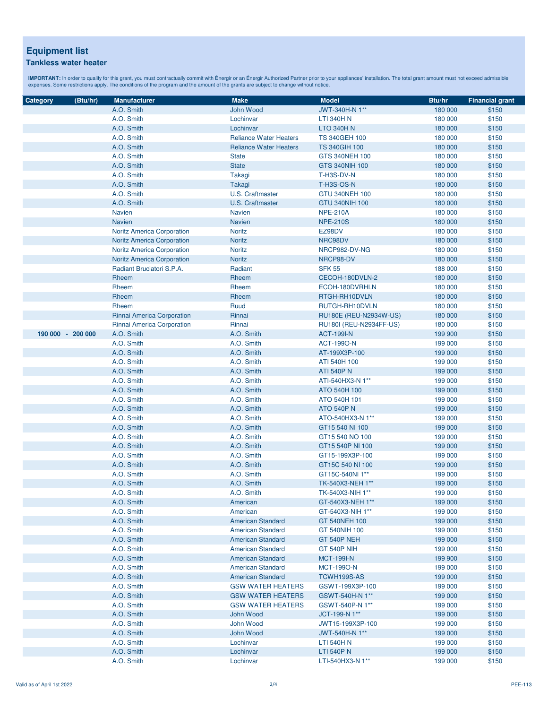| Category          | (Btu/hr) | <b>Manufacturer</b>               | <b>Make</b>                   | <b>Model</b>            | Btu/hr  | <b>Financial grant</b> |
|-------------------|----------|-----------------------------------|-------------------------------|-------------------------|---------|------------------------|
|                   |          | A.O. Smith                        | John Wood                     | JWT-340H-N 1**          | 180 000 | \$150                  |
|                   |          | A.O. Smith                        | Lochinvar                     | <b>LTI 340H N</b>       | 180 000 | \$150                  |
|                   |          | A.O. Smith                        | Lochinvar                     | <b>LTO 340H N</b>       | 180 000 | \$150                  |
|                   |          | A.O. Smith                        | <b>Reliance Water Heaters</b> | <b>TS 340GEH 100</b>    | 180 000 | \$150                  |
|                   |          | A.O. Smith                        | <b>Reliance Water Heaters</b> | <b>TS 340GIH 100</b>    | 180 000 | \$150                  |
|                   |          | A.O. Smith                        | <b>State</b>                  | GTS 340NEH 100          | 180 000 | \$150                  |
|                   |          | A.O. Smith                        | <b>State</b>                  | GTS 340NIH 100          | 180 000 | \$150                  |
|                   |          | A.O. Smith                        | Takagi                        | T-H3S-DV-N              | 180 000 | \$150                  |
|                   |          | A.O. Smith                        | Takagi                        | <b>T-H3S-OS-N</b>       | 180 000 | \$150                  |
|                   |          | A.O. Smith                        | U.S. Craftmaster              | GTU 340NEH 100          | 180 000 | \$150                  |
|                   |          | A.O. Smith                        | <b>U.S. Craftmaster</b>       | GTU 340NIH 100          | 180 000 | \$150                  |
|                   |          | <b>Navien</b>                     | <b>Navien</b>                 | <b>NPE-210A</b>         | 180 000 | \$150                  |
|                   |          | <b>Navien</b>                     | <b>Navien</b>                 | <b>NPE-210S</b>         | 180 000 | \$150                  |
|                   |          |                                   | <b>Noritz</b>                 | EZ98DV                  |         | \$150                  |
|                   |          | <b>Noritz America Corporation</b> |                               | NRC98DV                 | 180 000 | \$150                  |
|                   |          | <b>Noritz America Corporation</b> | Noritz<br><b>Noritz</b>       | NRCP982-DV-NG           | 180 000 | \$150                  |
|                   |          | <b>Noritz America Corporation</b> | <b>Noritz</b>                 | NRCP98-DV               | 180 000 |                        |
|                   |          | <b>Noritz America Corporation</b> |                               |                         | 180 000 | \$150                  |
|                   |          | Radiant Bruciatori S.P.A.         | Radiant                       | <b>SFK 55</b>           | 188 000 | \$150                  |
|                   |          | Rheem                             | Rheem                         | CECOH-180DVLN-2         | 180 000 | \$150                  |
|                   |          | Rheem                             | Rheem                         | ECOH-180DVRHLN          | 180 000 | \$150                  |
|                   |          | Rheem                             | Rheem                         | RTGH-RH10DVLN           | 180 000 | \$150                  |
|                   |          | Rheem                             | Ruud                          | RUTGH-RH10DVLN          | 180 000 | \$150                  |
|                   |          | Rinnai America Corporation        | Rinnai                        | RU180E (REU-N2934W-US)  | 180 000 | \$150                  |
|                   |          | Rinnai America Corporation        | Rinnai                        | RU180I (REU-N2934FF-US) | 180 000 | \$150                  |
| 190 000 - 200 000 |          | A.O. Smith                        | A.O. Smith                    | <b>ACT-199I-N</b>       | 199 900 | \$150                  |
|                   |          | A.O. Smith                        | A.O. Smith                    | <b>ACT-1990-N</b>       | 199 000 | \$150                  |
|                   |          | A.O. Smith                        | A.O. Smith                    | AT-199X3P-100           | 199 000 | \$150                  |
|                   |          | A.O. Smith                        | A.O. Smith                    | ATI 540H 100            | 199 000 | \$150                  |
|                   |          | A.O. Smith                        | A.O. Smith                    | <b>ATI 540P N</b>       | 199 000 | \$150                  |
|                   |          | A.O. Smith                        | A.O. Smith                    | ATI-540HX3-N 1**        | 199 000 | \$150                  |
|                   |          | A.O. Smith                        | A.O. Smith                    | ATO 540H 100            | 199 000 | \$150                  |
|                   |          | A.O. Smith                        | A.O. Smith                    | ATO 540H 101            | 199 000 | \$150                  |
|                   |          | A.O. Smith                        | A.O. Smith                    | <b>ATO 540P N</b>       | 199 000 | \$150                  |
|                   |          | A.O. Smith                        | A.O. Smith                    | ATO-540HX3-N 1**        | 199 000 | \$150                  |
|                   |          | A.O. Smith                        | A.O. Smith                    | GT15 540 NI 100         | 199 000 | \$150                  |
|                   |          | A.O. Smith                        | A.O. Smith                    | GT15 540 NO 100         | 199 000 | \$150                  |
|                   |          | A.O. Smith                        | A.O. Smith                    | GT15 540P NI 100        | 199 000 | \$150                  |
|                   |          | A.O. Smith                        | A.O. Smith                    | GT15-199X3P-100         | 199 000 | \$150                  |
|                   |          | A.O. Smith                        | A.O. Smith                    | GT15C 540 NI 100        | 199 000 | \$150                  |
|                   |          | A.O. Smith                        | A.O. Smith                    | GT15C-540NI 1**         | 199 000 | \$150                  |
|                   |          | A.O. Smith                        | A.O. Smith                    | TK-540X3-NEH 1**        | 199 000 | \$150                  |
|                   |          | A.O. Smith                        | A.O. Smith                    | TK-540X3-NIH 1**        | 199 000 | \$150                  |
|                   |          | A.O. Smith                        | American                      | GT-540X3-NEH 1**        | 199 000 | \$150                  |
|                   |          | A.O. Smith                        | American                      | GT-540X3-NIH 1**        | 199 000 | \$150                  |
|                   |          | A.O. Smith                        | <b>American Standard</b>      | GT 540NEH 100           | 199 000 | \$150                  |
|                   |          | A.O. Smith                        | <b>American Standard</b>      | GT 540NIH 100           | 199 000 | \$150                  |
|                   |          | A.O. Smith                        | <b>American Standard</b>      | GT 540P NEH             | 199 000 | \$150                  |
|                   |          | A.O. Smith                        | <b>American Standard</b>      | <b>GT 540P NIH</b>      | 199 000 | \$150                  |
|                   |          | A.O. Smith                        | <b>American Standard</b>      | <b>MCT-199I-N</b>       | 199 900 | \$150                  |
|                   |          | A.O. Smith                        | <b>American Standard</b>      | <b>MCT-1990-N</b>       | 199 000 | \$150                  |
|                   |          | A.O. Smith                        | <b>American Standard</b>      | TCWH199S-AS             | 199 000 | \$150                  |
|                   |          | A.O. Smith                        | <b>GSW WATER HEATERS</b>      | GSWT-199X3P-100         | 199 000 | \$150                  |
|                   |          | A.O. Smith                        | <b>GSW WATER HEATERS</b>      | GSWT-540H-N 1**         | 199 000 | \$150                  |
|                   |          | A.O. Smith                        | <b>GSW WATER HEATERS</b>      | GSWT-540P-N 1**         | 199 000 | \$150                  |
|                   |          | A.O. Smith                        | John Wood                     | JCT-199-N 1**           | 199 000 | \$150                  |
|                   |          | A.O. Smith                        | John Wood                     | JWT15-199X3P-100        | 199 000 | \$150                  |
|                   |          | A.O. Smith                        | John Wood                     | JWT-540H-N 1**          | 199 000 | \$150                  |
|                   |          | A.O. Smith                        | Lochinvar                     | LTI 540H N              | 199 000 | \$150                  |
|                   |          | A.O. Smith                        | Lochinvar                     | <b>LTI 540P N</b>       | 199 000 | \$150                  |
|                   |          | A.O. Smith                        | Lochinvar                     | LTI-540HX3-N 1**        | 199 000 | \$150                  |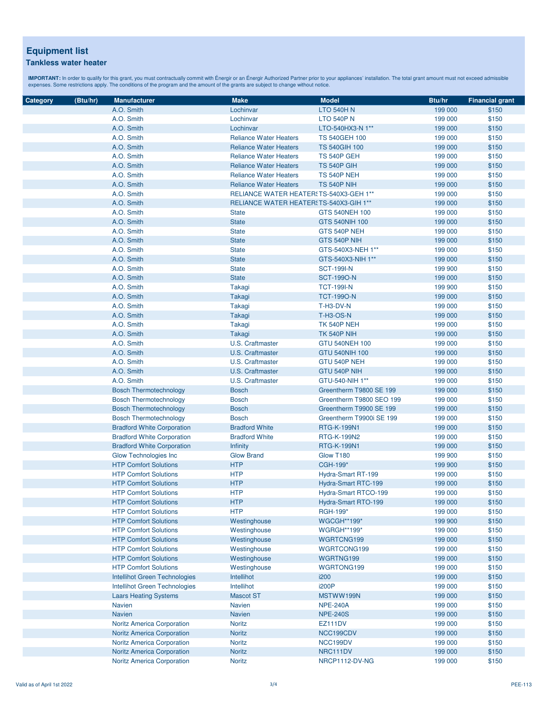| Category | (Btu/hr) | <b>Manufacturer</b>                  | <b>Make</b>                             | <b>Model</b>             | Btu/hr  | <b>Financial grant</b> |
|----------|----------|--------------------------------------|-----------------------------------------|--------------------------|---------|------------------------|
|          |          | A.O. Smith                           | Lochinvar                               | <b>LTO 540H N</b>        | 199 000 | \$150                  |
|          |          | A.O. Smith                           | Lochinvar                               | <b>LTO 540P N</b>        | 199 000 | \$150                  |
|          |          | A.O. Smith                           | Lochinvar                               | LTO-540HX3-N 1**         | 199 000 | \$150                  |
|          |          | A.O. Smith                           | <b>Reliance Water Heaters</b>           | <b>TS 540GEH 100</b>     | 199 000 | \$150                  |
|          |          |                                      | <b>Reliance Water Heaters</b>           | <b>TS 540GIH 100</b>     |         |                        |
|          |          | A.O. Smith                           |                                         |                          | 199 000 | \$150                  |
|          |          | A.O. Smith                           | <b>Reliance Water Heaters</b>           | TS 540P GEH              | 199 000 | \$150<br>\$150         |
|          |          | A.O. Smith                           | <b>Reliance Water Heaters</b>           | TS 540P GIH              | 199 000 |                        |
|          |          | A.O. Smith                           | <b>Reliance Water Heaters</b>           | TS 540P NEH              | 199 000 | \$150                  |
|          |          | A.O. Smith                           | <b>Reliance Water Heaters</b>           | <b>TS 540P NIH</b>       | 199 000 | \$150                  |
|          |          | A.O. Smith                           | RELIANCE WATER HEATER: TS-540X3-GEH 1** |                          | 199 000 | \$150                  |
|          |          | A.O. Smith                           | RELIANCE WATER HEATER: TS-540X3-GIH 1** |                          | 199 000 | \$150                  |
|          |          | A.O. Smith                           | <b>State</b>                            | GTS 540NEH 100           | 199 000 | \$150                  |
|          |          | A.O. Smith                           | <b>State</b>                            | GTS 540NIH 100           | 199 000 | \$150                  |
|          |          | A.O. Smith                           | <b>State</b>                            | GTS 540P NEH             | 199 000 | \$150                  |
|          |          | A.O. Smith                           | <b>State</b>                            | GTS 540P NIH             | 199 000 | \$150                  |
|          |          | A.O. Smith                           | <b>State</b>                            | GTS-540X3-NEH 1**        | 199 000 | \$150                  |
|          |          | A.O. Smith                           | <b>State</b>                            | GTS-540X3-NIH 1**        | 199 000 | \$150                  |
|          |          | A.O. Smith                           | <b>State</b>                            | <b>SCT-199I-N</b>        | 199 900 | \$150                  |
|          |          | A.O. Smith                           | <b>State</b>                            | <b>SCT-1990-N</b>        | 199 000 | \$150                  |
|          |          | A.O. Smith                           | Takagi                                  | <b>TCT-199I-N</b>        | 199 900 | \$150                  |
|          |          | A.O. Smith                           | Takagi                                  | <b>TCT-1990-N</b>        | 199 000 | \$150                  |
|          |          | A.O. Smith                           | Takagi                                  | T-H3-DV-N                | 199 000 | \$150                  |
|          |          | A.O. Smith                           | Takagi                                  | <b>T-H3-OS-N</b>         | 199 000 | \$150                  |
|          |          | A.O. Smith                           | Takagi                                  | <b>TK 540P NEH</b>       | 199 000 | \$150                  |
|          |          | A.O. Smith                           | Takagi                                  | <b>TK 540P NIH</b>       | 199 000 | \$150                  |
|          |          | A.O. Smith                           | <b>U.S. Craftmaster</b>                 | <b>GTU 540NEH 100</b>    | 199 000 | \$150                  |
|          |          | A.O. Smith                           | <b>U.S. Craftmaster</b>                 | <b>GTU 540NIH 100</b>    | 199 000 | \$150                  |
|          |          | A.O. Smith                           | U.S. Craftmaster                        | GTU 540P NEH             | 199 000 | \$150                  |
|          |          | A.O. Smith                           | <b>U.S. Craftmaster</b>                 | GTU 540P NIH             | 199 000 | \$150                  |
|          |          | A.O. Smith                           | U.S. Craftmaster                        | GTU-540-NIH 1**          | 199 000 | \$150                  |
|          |          | <b>Bosch Thermotechnology</b>        | <b>Bosch</b>                            | Greentherm T9800 SE 199  | 199 000 | \$150                  |
|          |          | <b>Bosch Thermotechnology</b>        | <b>Bosch</b>                            | Greentherm T9800 SEO 199 | 199 000 | \$150                  |
|          |          | <b>Bosch Thermotechnology</b>        | <b>Bosch</b>                            | Greentherm T9900 SE 199  | 199 000 | \$150                  |
|          |          | <b>Bosch Thermotechnology</b>        | <b>Bosch</b>                            | Greentherm T9900i SE 199 | 199 000 | \$150                  |
|          |          | <b>Bradford White Corporation</b>    | <b>Bradford White</b>                   | <b>RTG-K-199N1</b>       | 199 000 | \$150                  |
|          |          | <b>Bradford White Corporation</b>    | <b>Bradford White</b>                   | RTG-K-199N2              | 199 000 | \$150                  |
|          |          | <b>Bradford White Corporation</b>    | <b>Infinity</b>                         | <b>RTG-K-199N1</b>       | 199 000 | \$150                  |
|          |          | <b>Glow Technologies Inc</b>         | <b>Glow Brand</b>                       | Glow T180                | 199 900 | \$150                  |
|          |          | <b>HTP Comfort Solutions</b>         | <b>HTP</b>                              | CGH-199*                 | 199 900 | \$150                  |
|          |          | <b>HTP Comfort Solutions</b>         | <b>HTP</b>                              | Hydra-Smart RT-199       | 199 000 | \$150                  |
|          |          | <b>HTP Comfort Solutions</b>         | <b>HTP</b>                              | Hydra-Smart RTC-199      | 199 000 | \$150                  |
|          |          | <b>HTP Comfort Solutions</b>         | <b>HTP</b>                              | Hydra-Smart RTCO-199     | 199 000 | \$150                  |
|          |          | <b>HTP Comfort Solutions</b>         | <b>HTP</b>                              | Hydra-Smart RTO-199      | 199 000 | \$150                  |
|          |          | <b>HTP Comfort Solutions</b>         | <b>HTP</b>                              | RGH-199*                 | 199 000 | \$150                  |
|          |          | <b>HTP Comfort Solutions</b>         | Westinghouse                            | <b>WGCGH**199*</b>       | 199 900 | \$150                  |
|          |          | <b>HTP Comfort Solutions</b>         | Westinghouse                            | <b>WGRGH**199*</b>       | 199 000 | \$150                  |
|          |          | <b>HTP Comfort Solutions</b>         | Westinghouse                            | WGRTCNG199               | 199 000 | \$150                  |
|          |          | <b>HTP Comfort Solutions</b>         | Westinghouse                            | WGRTCONG199              | 199 000 | \$150                  |
|          |          | <b>HTP Comfort Solutions</b>         | Westinghouse                            | WGRTNG199                | 199 000 | \$150                  |
|          |          | <b>HTP Comfort Solutions</b>         | Westinghouse                            | WGRTONG199               | 199 000 | \$150                  |
|          |          | Intellihot Green Technologies        | Intellihot                              | i200                     | 199 000 | \$150                  |
|          |          | <b>Intellihot Green Technologies</b> | Intellihot                              | i200P                    | 199 000 | \$150                  |
|          |          | <b>Laars Heating Systems</b>         | <b>Mascot ST</b>                        | MSTWW199N                | 199 000 | \$150                  |
|          |          | <b>Navien</b>                        | <b>Navien</b>                           | <b>NPE-240A</b>          | 199 000 | \$150                  |
|          |          | <b>Navien</b>                        | <b>Navien</b>                           | <b>NPE-240S</b>          | 199 000 | \$150                  |
|          |          | Noritz America Corporation           | <b>Noritz</b>                           | <b>EZ111DV</b>           | 199 000 | \$150                  |
|          |          | <b>Noritz America Corporation</b>    | Noritz                                  | NCC199CDV                | 199 000 | \$150                  |
|          |          | Noritz America Corporation           | <b>Noritz</b>                           | NCC199DV                 | 199 000 | \$150                  |
|          |          | Noritz America Corporation           | Noritz                                  | NRC111DV                 | 199 000 | \$150                  |
|          |          | <b>Noritz America Corporation</b>    | Noritz                                  | NRCP1112-DV-NG           | 199 000 | \$150                  |
|          |          |                                      |                                         |                          |         |                        |